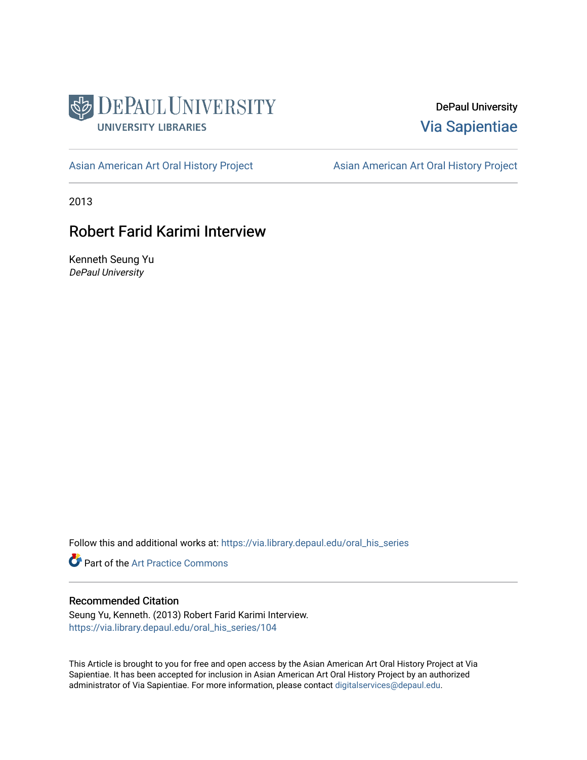

DePaul University [Via Sapientiae](https://via.library.depaul.edu/) 

[Asian American Art Oral History Project](https://via.library.depaul.edu/oral_his_series) **Asian American Art Oral History Project** 

2013

# Robert Farid Karimi Interview

Kenneth Seung Yu DePaul University

Follow this and additional works at: [https://via.library.depaul.edu/oral\\_his\\_series](https://via.library.depaul.edu/oral_his_series?utm_source=via.library.depaul.edu%2Foral_his_series%2F104&utm_medium=PDF&utm_campaign=PDFCoverPages) 

Part of the [Art Practice Commons](http://network.bepress.com/hgg/discipline/509?utm_source=via.library.depaul.edu%2Foral_his_series%2F104&utm_medium=PDF&utm_campaign=PDFCoverPages)

#### Recommended Citation

Seung Yu, Kenneth. (2013) Robert Farid Karimi Interview. [https://via.library.depaul.edu/oral\\_his\\_series/104](https://via.library.depaul.edu/oral_his_series/104?utm_source=via.library.depaul.edu%2Foral_his_series%2F104&utm_medium=PDF&utm_campaign=PDFCoverPages) 

This Article is brought to you for free and open access by the Asian American Art Oral History Project at Via Sapientiae. It has been accepted for inclusion in Asian American Art Oral History Project by an authorized administrator of Via Sapientiae. For more information, please contact [digitalservices@depaul.edu.](mailto:digitalservices@depaul.edu)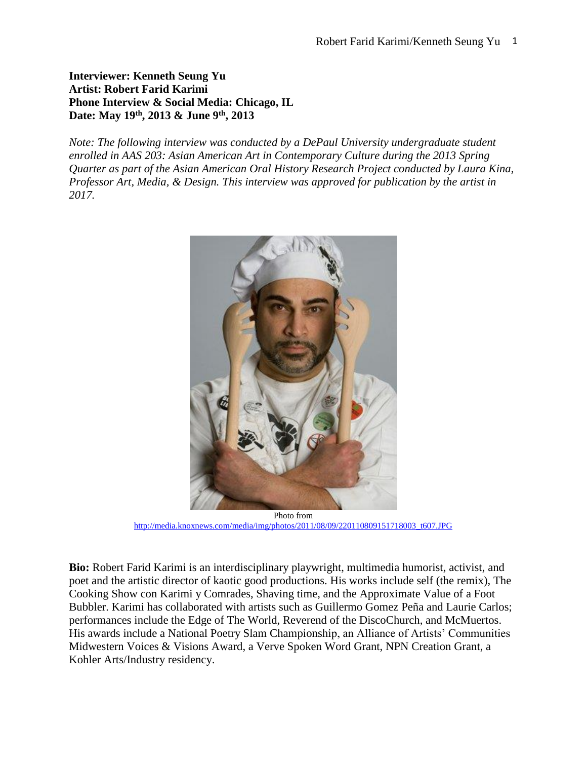### **Interviewer: Kenneth Seung Yu Artist: Robert Farid Karimi Phone Interview & Social Media: Chicago, IL Date: May 19th, 2013 & June 9th, 2013**

*Note: The following interview was conducted by a DePaul University undergraduate student enrolled in AAS 203: Asian American Art in Contemporary Culture during the 2013 Spring Quarter as part of the Asian American Oral History Research Project conducted by Laura Kina, Professor Art, Media, & Design. This interview was approved for publication by the artist in 2017.*



Photo from [http://media.knoxnews.com/media/img/photos/2011/08/09/220110809151718003\\_t607.JPG](http://media.knoxnews.com/media/img/photos/2011/08/09/220110809151718003_t607.JPG)

**Bio:** Robert Farid Karimi is an interdisciplinary playwright, multimedia humorist, activist, and poet and the artistic director of kaotic good productions. His works include self (the remix), The Cooking Show con Karimi y Comrades, Shaving time, and the Approximate Value of a Foot Bubbler. Karimi has collaborated with artists such as Guillermo Gomez Peña and Laurie Carlos; performances include the Edge of The World, Reverend of the DiscoChurch, and McMuertos. His awards include a National Poetry Slam Championship, an Alliance of Artists' Communities Midwestern Voices & Visions Award, a Verve Spoken Word Grant, NPN Creation Grant, a Kohler Arts/Industry residency.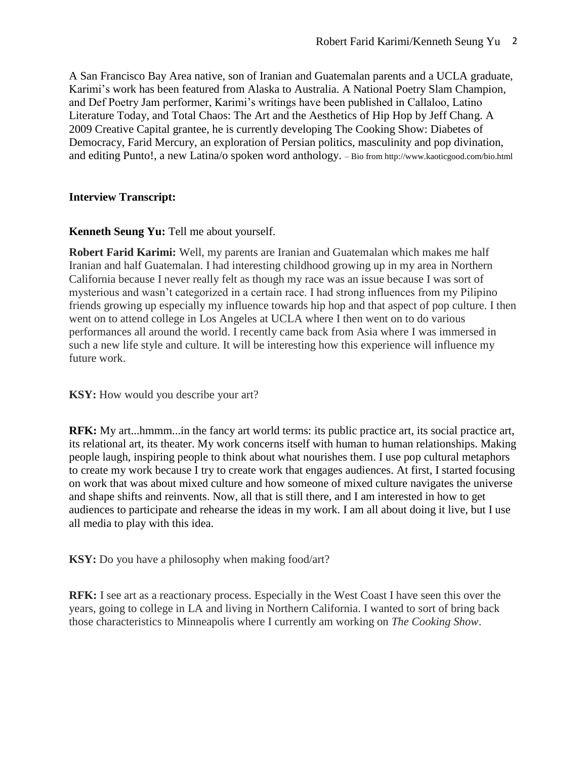A San Francisco Bay Area native, son of Iranian and Guatemalan parents and a UCLA graduate, Karimi's work has been featured from Alaska to Australia. A National Poetry Slam Champion, and Def Poetry Jam performer, Karimi's writings have been published in Callaloo, Latino Literature Today, and Total Chaos: The Art and the Aesthetics of Hip Hop by Jeff Chang. A 2009 Creative Capital grantee, he is currently developing The Cooking Show: Diabetes of Democracy, Farid Mercury, an exploration of Persian politics, masculinity and pop divination, and editing Punto!, a new Latina/o spoken word anthology. – Bio fro[m http://www.kaoticgood.com/bio.html](http://www.kaoticgood.com/bio.html)

### **Interview Transcript:**

## **Kenneth Seung Yu: Tell me about yourself.**

**Robert Farid Karimi:** Well, my parents are Iranian and Guatemalan which makes me half Iranian and half Guatemalan. I had interesting childhood growing up in my area in Northern California because I never really felt as though my race was an issue because I was sort of mysterious and wasn't categorized in a certain race. I had strong influences from my Pilipino friends growing up especially my influence towards hip hop and that aspect of pop culture. I then went on to attend college in Los Angeles at UCLA where I then went on to do various performances all around the world. I recently came back from Asia where I was immersed in such a new life style and culture. It will be interesting how this experience will influence my future work.

**KSY:** How would you describe your art?

**RFK:** My art...hmmm...in the fancy art world terms: its public practice art, its social practice art, its relational art, its theater. My work concerns itself with human to human relationships. Making people laugh, inspiring people to think about what nourishes them. I use pop cultural metaphors to create my work because I try to create work that engages audiences. At first, I started focusing on work that was about mixed culture and how someone of mixed culture navigates the universe and shape shifts and reinvents. Now, all that is still there, and I am interested in how to get audiences to participate and rehearse the ideas in my work. I am all about doing it live, but I use all media to play with this idea.

**KSY:** Do you have a philosophy when making food/art?

**RFK:** I see art as a reactionary process. Especially in the West Coast I have seen this over the years, going to college in LA and living in Northern California. I wanted to sort of bring back those characteristics to Minneapolis where I currently am working on *The Cooking Show*.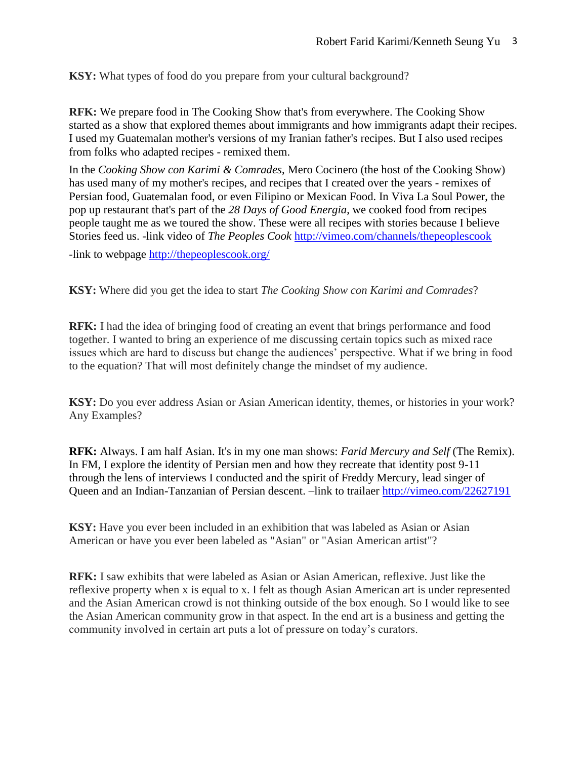**KSY:** What types of food do you prepare from your cultural background?

**RFK:** We prepare food in The Cooking Show that's from everywhere. The Cooking Show started as a show that explored themes about immigrants and how immigrants adapt their recipes. I used my Guatemalan mother's versions of my Iranian father's recipes. But I also used recipes from folks who adapted recipes - remixed them.

In the *Cooking Show con Karimi & Comrades*, Mero Cocinero (the host of the Cooking Show) has used many of my mother's recipes, and recipes that I created over the years - remixes of Persian food, Guatemalan food, or even Filipino or Mexican Food. In Viva La Soul Power, the pop up restaurant that's part of the *28 Days of Good Energia*, we cooked food from recipes people taught me as we toured the show. These were all recipes with stories because I believe Stories feed us. -link video of *The Peoples Cook* <http://vimeo.com/channels/thepeoplescook>

-link to webpage<http://thepeoplescook.org/>

**KSY:** Where did you get the idea to start *The Cooking Show con Karimi and Comrades*?

**RFK:** I had the idea of bringing food of creating an event that brings performance and food together. I wanted to bring an experience of me discussing certain topics such as mixed race issues which are hard to discuss but change the audiences' perspective. What if we bring in food to the equation? That will most definitely change the mindset of my audience.

**KSY:** Do you ever address Asian or Asian American identity, themes, or histories in your work? Any Examples?

**RFK:** Always. I am half Asian. It's in my one man shows: *Farid Mercury and Self* (The Remix). In FM, I explore the identity of Persian men and how they recreate that identity post 9-11 through the lens of interviews I conducted and the spirit of Freddy Mercury, lead singer of Queen and an Indian-Tanzanian of Persian descent. –link to trailaer<http://vimeo.com/22627191>

**KSY:** Have you ever been included in an exhibition that was labeled as Asian or Asian American or have you ever been labeled as "Asian" or "Asian American artist"?

**RFK:** I saw exhibits that were labeled as Asian or Asian American, reflexive. Just like the reflexive property when x is equal to x. I felt as though Asian American art is under represented and the Asian American crowd is not thinking outside of the box enough. So I would like to see the Asian American community grow in that aspect. In the end art is a business and getting the community involved in certain art puts a lot of pressure on today's curators.